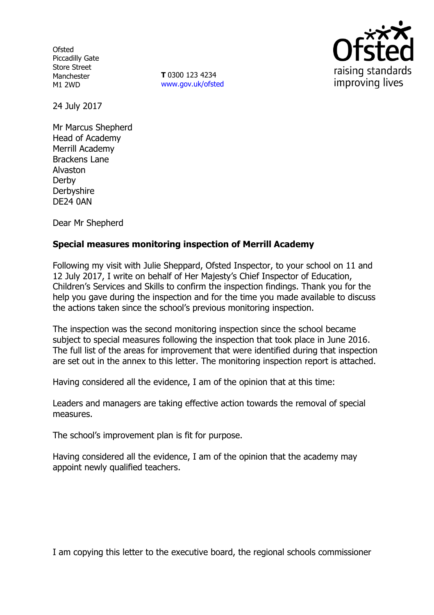**Ofsted** Piccadilly Gate Store Street Manchester M1 2WD

**T** 0300 123 4234 www.gov.uk/ofsted



24 July 2017

Mr Marcus Shepherd Head of Academy Merrill Academy Brackens Lane Alvaston Derby **Derbyshire** DE24 0AN

Dear Mr Shepherd

## **Special measures monitoring inspection of Merrill Academy**

Following my visit with Julie Sheppard, Ofsted Inspector, to your school on 11 and 12 July 2017, I write on behalf of Her Majesty's Chief Inspector of Education, Children's Services and Skills to confirm the inspection findings. Thank you for the help you gave during the inspection and for the time you made available to discuss the actions taken since the school's previous monitoring inspection.

The inspection was the second monitoring inspection since the school became subject to special measures following the inspection that took place in June 2016. The full list of the areas for improvement that were identified during that inspection are set out in the annex to this letter. The monitoring inspection report is attached.

Having considered all the evidence, I am of the opinion that at this time:

Leaders and managers are taking effective action towards the removal of special measures.

The school's improvement plan is fit for purpose.

Having considered all the evidence, I am of the opinion that the academy may appoint newly qualified teachers.

I am copying this letter to the executive board, the regional schools commissioner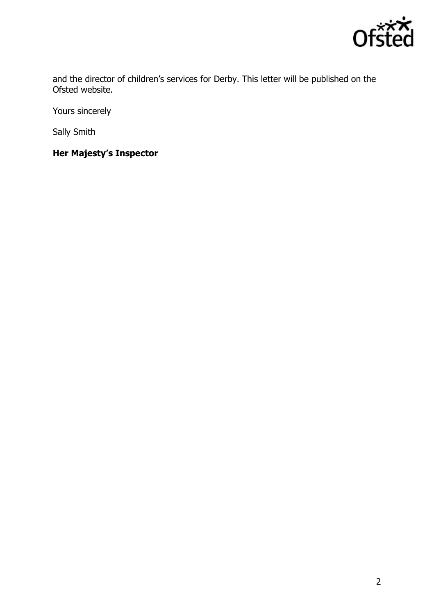

and the director of children's services for Derby. This letter will be published on the Ofsted website.

Yours sincerely

Sally Smith

**Her Majesty's Inspector**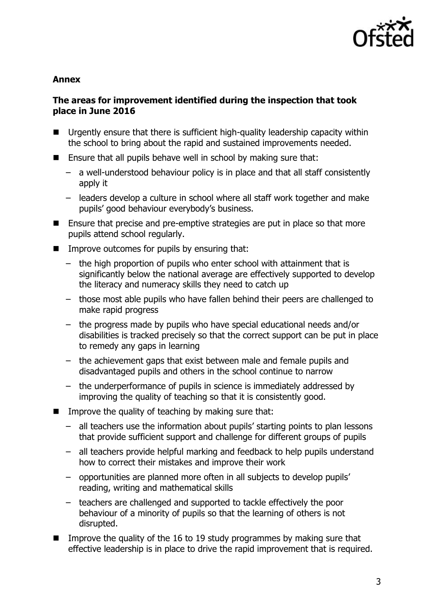

#### **Annex**

## **The areas for improvement identified during the inspection that took place in June 2016**

- Urgently ensure that there is sufficient high-quality leadership capacity within the school to bring about the rapid and sustained improvements needed.
- **E** Ensure that all pupils behave well in school by making sure that:
	- a well-understood behaviour policy is in place and that all staff consistently apply it
	- leaders develop a culture in school where all staff work together and make pupils' good behaviour everybody's business.
- Ensure that precise and pre-emptive strategies are put in place so that more pupils attend school regularly.
- $\blacksquare$  Improve outcomes for pupils by ensuring that:
	- the high proportion of pupils who enter school with attainment that is significantly below the national average are effectively supported to develop the literacy and numeracy skills they need to catch up
	- those most able pupils who have fallen behind their peers are challenged to make rapid progress
	- the progress made by pupils who have special educational needs and/or disabilities is tracked precisely so that the correct support can be put in place to remedy any gaps in learning
	- the achievement gaps that exist between male and female pupils and disadvantaged pupils and others in the school continue to narrow
	- the underperformance of pupils in science is immediately addressed by improving the quality of teaching so that it is consistently good.
- $\blacksquare$  Improve the quality of teaching by making sure that:
	- all teachers use the information about pupils' starting points to plan lessons that provide sufficient support and challenge for different groups of pupils
	- all teachers provide helpful marking and feedback to help pupils understand how to correct their mistakes and improve their work
	- opportunities are planned more often in all subjects to develop pupils' reading, writing and mathematical skills
	- teachers are challenged and supported to tackle effectively the poor behaviour of a minority of pupils so that the learning of others is not disrupted.
- Improve the quality of the 16 to 19 study programmes by making sure that effective leadership is in place to drive the rapid improvement that is required.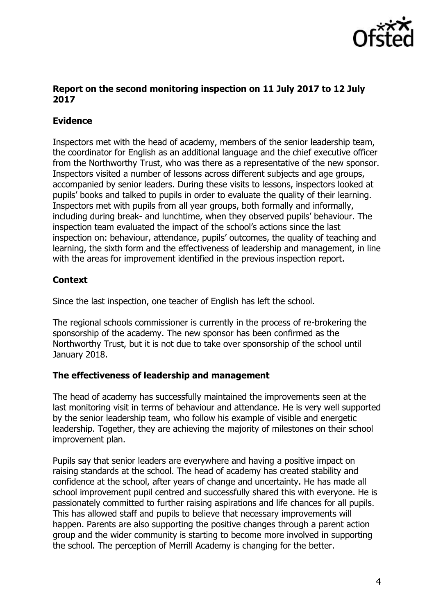

## **Report on the second monitoring inspection on 11 July 2017 to 12 July 2017**

# **Evidence**

Inspectors met with the head of academy, members of the senior leadership team, the coordinator for English as an additional language and the chief executive officer from the Northworthy Trust, who was there as a representative of the new sponsor. Inspectors visited a number of lessons across different subjects and age groups, accompanied by senior leaders. During these visits to lessons, inspectors looked at pupils' books and talked to pupils in order to evaluate the quality of their learning. Inspectors met with pupils from all year groups, both formally and informally, including during break- and lunchtime, when they observed pupils' behaviour. The inspection team evaluated the impact of the school's actions since the last inspection on: behaviour, attendance, pupils' outcomes, the quality of teaching and learning, the sixth form and the effectiveness of leadership and management, in line with the areas for improvement identified in the previous inspection report.

# **Context**

Since the last inspection, one teacher of English has left the school.

The regional schools commissioner is currently in the process of re-brokering the sponsorship of the academy. The new sponsor has been confirmed as the Northworthy Trust, but it is not due to take over sponsorship of the school until January 2018.

### **The effectiveness of leadership and management**

The head of academy has successfully maintained the improvements seen at the last monitoring visit in terms of behaviour and attendance. He is very well supported by the senior leadership team, who follow his example of visible and energetic leadership. Together, they are achieving the majority of milestones on their school improvement plan.

Pupils say that senior leaders are everywhere and having a positive impact on raising standards at the school. The head of academy has created stability and confidence at the school, after years of change and uncertainty. He has made all school improvement pupil centred and successfully shared this with everyone. He is passionately committed to further raising aspirations and life chances for all pupils. This has allowed staff and pupils to believe that necessary improvements will happen. Parents are also supporting the positive changes through a parent action group and the wider community is starting to become more involved in supporting the school. The perception of Merrill Academy is changing for the better.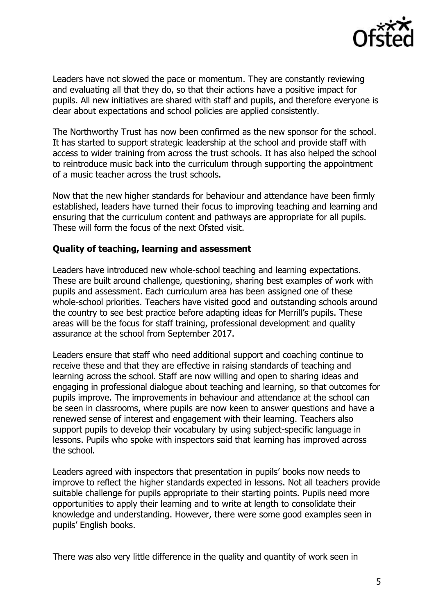

Leaders have not slowed the pace or momentum. They are constantly reviewing and evaluating all that they do, so that their actions have a positive impact for pupils. All new initiatives are shared with staff and pupils, and therefore everyone is clear about expectations and school policies are applied consistently.

The Northworthy Trust has now been confirmed as the new sponsor for the school. It has started to support strategic leadership at the school and provide staff with access to wider training from across the trust schools. It has also helped the school to reintroduce music back into the curriculum through supporting the appointment of a music teacher across the trust schools.

Now that the new higher standards for behaviour and attendance have been firmly established, leaders have turned their focus to improving teaching and learning and ensuring that the curriculum content and pathways are appropriate for all pupils. These will form the focus of the next Ofsted visit.

#### **Quality of teaching, learning and assessment**

Leaders have introduced new whole-school teaching and learning expectations. These are built around challenge, questioning, sharing best examples of work with pupils and assessment. Each curriculum area has been assigned one of these whole-school priorities. Teachers have visited good and outstanding schools around the country to see best practice before adapting ideas for Merrill's pupils. These areas will be the focus for staff training, professional development and quality assurance at the school from September 2017.

Leaders ensure that staff who need additional support and coaching continue to receive these and that they are effective in raising standards of teaching and learning across the school. Staff are now willing and open to sharing ideas and engaging in professional dialogue about teaching and learning, so that outcomes for pupils improve. The improvements in behaviour and attendance at the school can be seen in classrooms, where pupils are now keen to answer questions and have a renewed sense of interest and engagement with their learning. Teachers also support pupils to develop their vocabulary by using subject-specific language in lessons. Pupils who spoke with inspectors said that learning has improved across the school.

Leaders agreed with inspectors that presentation in pupils' books now needs to improve to reflect the higher standards expected in lessons. Not all teachers provide suitable challenge for pupils appropriate to their starting points. Pupils need more opportunities to apply their learning and to write at length to consolidate their knowledge and understanding. However, there were some good examples seen in pupils' English books.

There was also very little difference in the quality and quantity of work seen in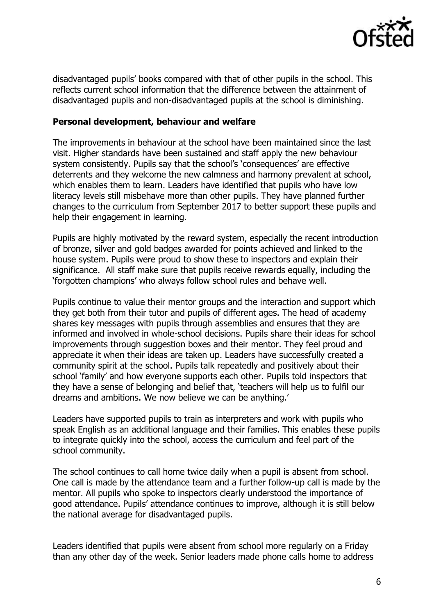

disadvantaged pupils' books compared with that of other pupils in the school. This reflects current school information that the difference between the attainment of disadvantaged pupils and non-disadvantaged pupils at the school is diminishing.

#### **Personal development, behaviour and welfare**

The improvements in behaviour at the school have been maintained since the last visit. Higher standards have been sustained and staff apply the new behaviour system consistently. Pupils say that the school's 'consequences' are effective deterrents and they welcome the new calmness and harmony prevalent at school, which enables them to learn. Leaders have identified that pupils who have low literacy levels still misbehave more than other pupils. They have planned further changes to the curriculum from September 2017 to better support these pupils and help their engagement in learning.

Pupils are highly motivated by the reward system, especially the recent introduction of bronze, silver and gold badges awarded for points achieved and linked to the house system. Pupils were proud to show these to inspectors and explain their significance. All staff make sure that pupils receive rewards equally, including the 'forgotten champions' who always follow school rules and behave well.

Pupils continue to value their mentor groups and the interaction and support which they get both from their tutor and pupils of different ages. The head of academy shares key messages with pupils through assemblies and ensures that they are informed and involved in whole-school decisions. Pupils share their ideas for school improvements through suggestion boxes and their mentor. They feel proud and appreciate it when their ideas are taken up. Leaders have successfully created a community spirit at the school. Pupils talk repeatedly and positively about their school 'family' and how everyone supports each other. Pupils told inspectors that they have a sense of belonging and belief that, 'teachers will help us to fulfil our dreams and ambitions. We now believe we can be anything.'

Leaders have supported pupils to train as interpreters and work with pupils who speak English as an additional language and their families. This enables these pupils to integrate quickly into the school, access the curriculum and feel part of the school community.

The school continues to call home twice daily when a pupil is absent from school. One call is made by the attendance team and a further follow-up call is made by the mentor. All pupils who spoke to inspectors clearly understood the importance of good attendance. Pupils' attendance continues to improve, although it is still below the national average for disadvantaged pupils.

Leaders identified that pupils were absent from school more regularly on a Friday than any other day of the week. Senior leaders made phone calls home to address